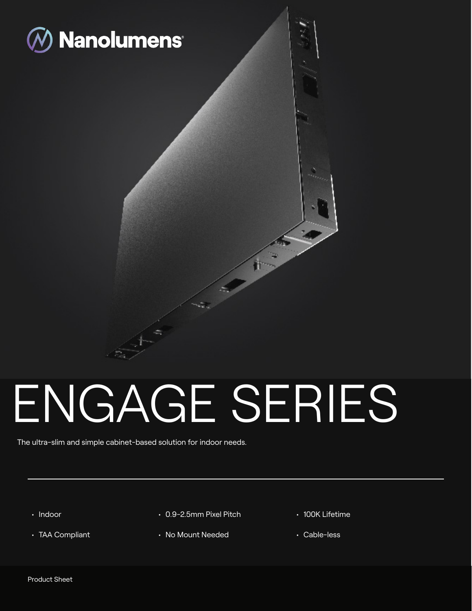

# ENGAGE SERIES

٠B 十一

The ultra-slim and simple cabinet-based solution for indoor needs.

- Indoor
- TAA Compliant
- 0.9-2.5mm Pixel Pitch
- No Mount Needed
- 100K Lifetime
- Cable-less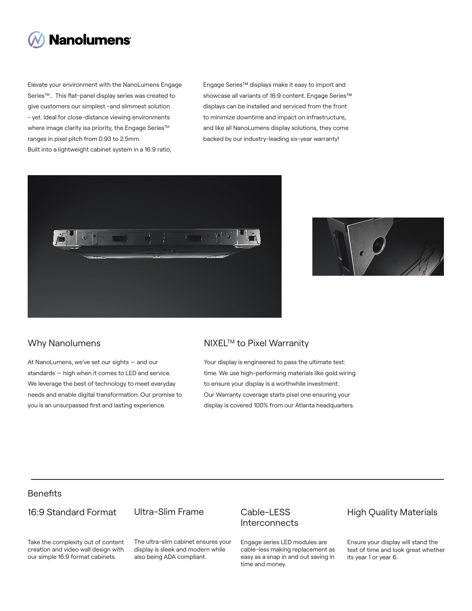

Elevate your environment with the NanoLumens Engage Series<sup>™</sup>.. This flat-panel display series was created to give customers our simplest -and slimmest solution - yet. Ideal for close-distance viewing environments where image clarity isa priority, the Engage Series™ ranges in pixel pitch from 0.93 to 2.5mm. Built into a lightweight cabinet system in a 16:9 ratio,

Engage Series™ displays make it easy to import and showcase all variants of 16:9 content. Engage Series™ displays can be installed and serviced from the front to minimize downtime and impact on infrastructure, and like all NanoLumens display solutions, they come backed by our industry-leading six-year warranty!





At NanoLumens, we've set our sights — and our standards — high when it comes to LED and service. We leverage the best of technology to meet everyday needs and enable digital transformation. Our promise to you is an unsurpassed first and lasting experience.

## Why Nanolumens NIXEL™ to Pixel Warranity

Your display is engineered to pass the ultimate test: time. We use high-performing materials like gold wiring to ensure your display is a worthwhile investment. Our Warranty coverage starts pixel one ensuring your display is covered 100% from our Atlanta headquarters.

# **Benefits**

#### 16:9 Standard Format

Ultra-Slim Frame

Take the complexity out of content creation and video wall design with our simple 16:9 format cabinets.

The ultra-slim cabinet ensures your display is sleek and modern while also being ADA compliant.

## Cable-LESS **Interconnects**

Engage series LED modules are cable-less making replacement as easy as a snap in and out saving in time and money.

# High Quality Materials

Ensure your display will stand the test of time and look great whether its year 1 or year 6.